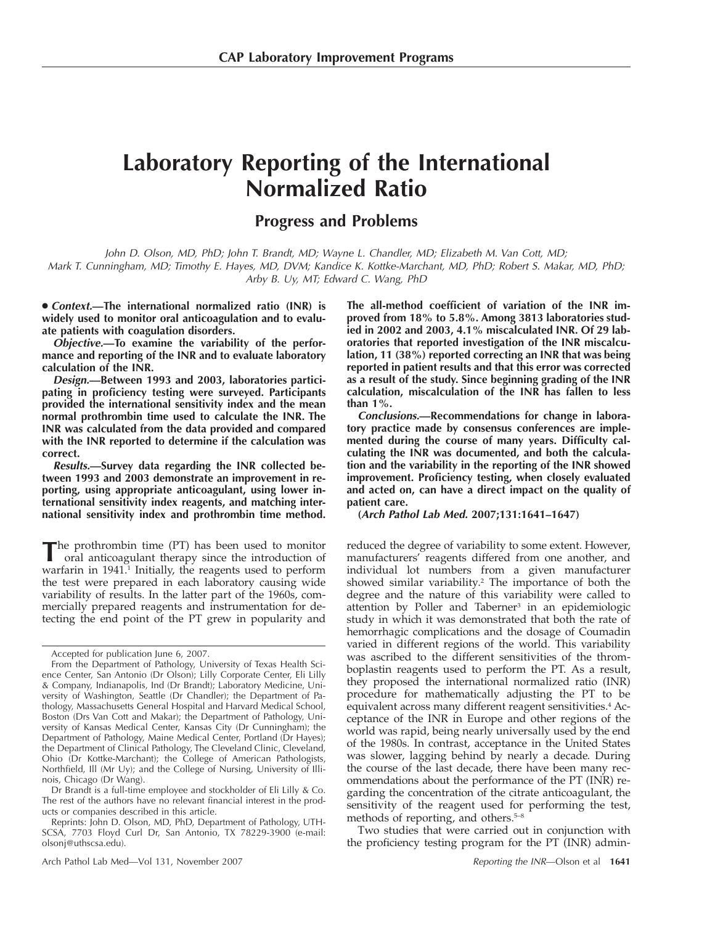# **Laboratory Reporting of the International Normalized Ratio**

# **Progress and Problems**

*John D. Olson, MD, PhD; John T. Brandt, MD; Wayne L. Chandler, MD; Elizabeth M. Van Cott, MD; Mark T. Cunningham, MD; Timothy E. Hayes, MD, DVM; Kandice K. Kottke-Marchant, MD, PhD; Robert S. Makar, MD, PhD; Arby B. Uy, MT; Edward C. Wang, PhD*

● *Context.***—The international normalized ratio (INR) is widely used to monitor oral anticoagulation and to evaluate patients with coagulation disorders.**

*Objective.***—To examine the variability of the performance and reporting of the INR and to evaluate laboratory calculation of the INR.**

*Design.***—Between 1993 and 2003, laboratories participating in proficiency testing were surveyed. Participants provided the international sensitivity index and the mean normal prothrombin time used to calculate the INR. The INR was calculated from the data provided and compared with the INR reported to determine if the calculation was correct.**

*Results.***—Survey data regarding the INR collected between 1993 and 2003 demonstrate an improvement in reporting, using appropriate anticoagulant, using lower international sensitivity index reagents, and matching international sensitivity index and prothrombin time method.**

**T**he prothrombin time (PT) has been used to monitor oral anticoagulant therapy since the introduction of warfarin in 1941.<sup>1</sup> Initially, the reagents used to perform the test were prepared in each laboratory causing wide variability of results. In the latter part of the 1960s, commercially prepared reagents and instrumentation for detecting the end point of the PT grew in popularity and

Dr Brandt is a full-time employee and stockholder of Eli Lilly & Co. The rest of the authors have no relevant financial interest in the products or companies described in this article.

Reprints: John D. Olson, MD, PhD, Department of Pathology, UTH-SCSA, 7703 Floyd Curl Dr, San Antonio, TX 78229-3900 (e-mail: olsonj@uthscsa.edu).

Arch Pathol Lab Med—Vol 131, November 2007 *Reporting the INR*—Olson et al **1641**

**The all-method coefficient of variation of the INR improved from 18% to 5.8%. Among 3813 laboratories studied in 2002 and 2003, 4.1% miscalculated INR. Of 29 laboratories that reported investigation of the INR miscalculation, 11 (38%) reported correcting an INR that was being reported in patient results and that this error was corrected as a result of the study. Since beginning grading of the INR calculation, miscalculation of the INR has fallen to less than 1%.**

*Conclusions.***—Recommendations for change in laboratory practice made by consensus conferences are implemented during the course of many years. Difficulty calculating the INR was documented, and both the calculation and the variability in the reporting of the INR showed improvement. Proficiency testing, when closely evaluated and acted on, can have a direct impact on the quality of patient care.**

**(***Arch Pathol Lab Med.* **2007;131:1641–1647)**

reduced the degree of variability to some extent. However, manufacturers' reagents differed from one another, and individual lot numbers from a given manufacturer showed similar variability.<sup>2</sup> The importance of both the degree and the nature of this variability were called to attention by Poller and Taberner<sup>3</sup> in an epidemiologic study in which it was demonstrated that both the rate of hemorrhagic complications and the dosage of Coumadin varied in different regions of the world. This variability was ascribed to the different sensitivities of the thromboplastin reagents used to perform the PT. As a result, they proposed the international normalized ratio (INR) procedure for mathematically adjusting the PT to be equivalent across many different reagent sensitivities.<sup>4</sup> Acceptance of the INR in Europe and other regions of the world was rapid, being nearly universally used by the end of the 1980s. In contrast, acceptance in the United States was slower, lagging behind by nearly a decade. During the course of the last decade, there have been many recommendations about the performance of the PT (INR) regarding the concentration of the citrate anticoagulant, the sensitivity of the reagent used for performing the test, methods of reporting, and others.<sup>5-8</sup>

Two studies that were carried out in conjunction with the proficiency testing program for the PT (INR) admin-

Accepted for publication June 6, 2007.

From the Department of Pathology, University of Texas Health Science Center, San Antonio (Dr Olson); Lilly Corporate Center, Eli Lilly & Company, Indianapolis, Ind (Dr Brandt); Laboratory Medicine, University of Washington, Seattle (Dr Chandler); the Department of Pathology, Massachusetts General Hospital and Harvard Medical School, Boston (Drs Van Cott and Makar); the Department of Pathology, University of Kansas Medical Center, Kansas City (Dr Cunningham); the Department of Pathology, Maine Medical Center, Portland (Dr Hayes); the Department of Clinical Pathology, The Cleveland Clinic, Cleveland, Ohio (Dr Kottke-Marchant); the College of American Pathologists, Northfield, Ill (Mr Uy); and the College of Nursing, University of Illinois, Chicago (Dr Wang).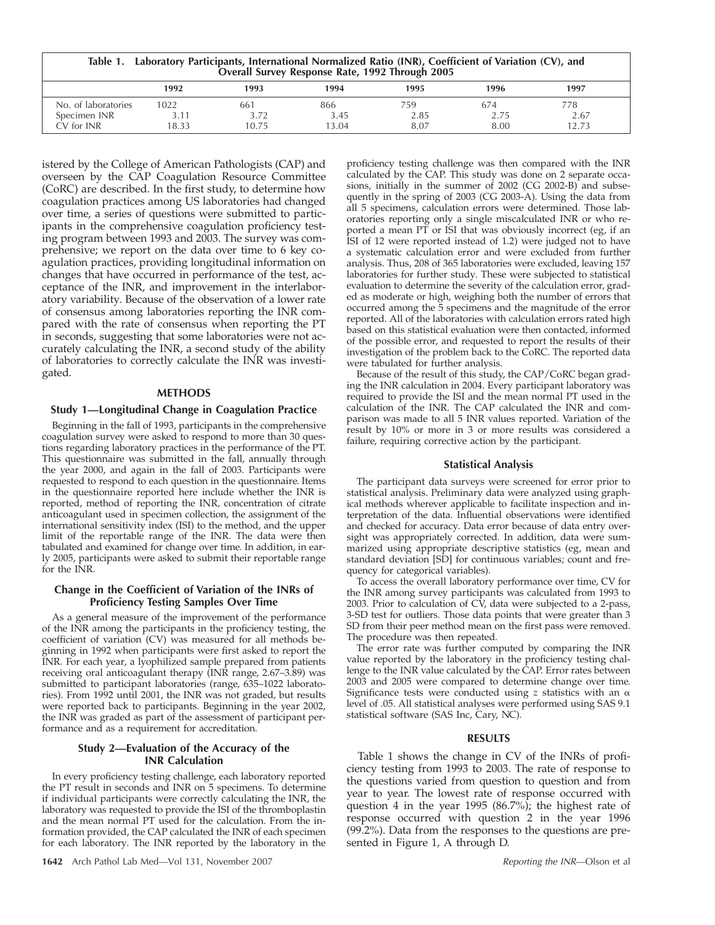| Table 1. Laboratory Participants, International Normalized Ratio (INR), Coefficient of Variation (CV), and |
|------------------------------------------------------------------------------------------------------------|
| Overall Survey Response Rate, 1992 Through 2005                                                            |

|                                        | 1992                       | 1993                          | 1994        | 1995        | 1996        | 1997        |
|----------------------------------------|----------------------------|-------------------------------|-------------|-------------|-------------|-------------|
| of laboratories<br>No.<br>Specimen INR | 1022<br>2.11<br>. <b>.</b> | 661<br>$\rightarrow$<br>ے ہے۔ | 866<br>3.45 | 759<br>2.85 | 674<br>2.75 | 778<br>2.67 |
| CV for INR                             | 18.33                      | 10.75                         | 13.04       | 8.07        | 8.00        | 12.73       |

istered by the College of American Pathologists (CAP) and overseen by the CAP Coagulation Resource Committee (CoRC) are described. In the first study, to determine how coagulation practices among US laboratories had changed over time, a series of questions were submitted to participants in the comprehensive coagulation proficiency testing program between 1993 and 2003. The survey was comprehensive; we report on the data over time to 6 key coagulation practices, providing longitudinal information on changes that have occurred in performance of the test, acceptance of the INR, and improvement in the interlaboratory variability. Because of the observation of a lower rate of consensus among laboratories reporting the INR compared with the rate of consensus when reporting the PT in seconds, suggesting that some laboratories were not accurately calculating the INR, a second study of the ability of laboratories to correctly calculate the INR was investigated.

#### **METHODS**

#### **Study 1—Longitudinal Change in Coagulation Practice**

Beginning in the fall of 1993, participants in the comprehensive coagulation survey were asked to respond to more than 30 questions regarding laboratory practices in the performance of the PT. This questionnaire was submitted in the fall, annually through the year 2000, and again in the fall of 2003. Participants were requested to respond to each question in the questionnaire. Items in the questionnaire reported here include whether the INR is reported, method of reporting the INR, concentration of citrate anticoagulant used in specimen collection, the assignment of the international sensitivity index (ISI) to the method, and the upper limit of the reportable range of the INR. The data were then tabulated and examined for change over time. In addition, in early 2005, participants were asked to submit their reportable range for the INR.

# **Change in the Coefficient of Variation of the INRs of Proficiency Testing Samples Over Time**

As a general measure of the improvement of the performance of the INR among the participants in the proficiency testing, the coefficient of variation (CV) was measured for all methods beginning in 1992 when participants were first asked to report the INR. For each year, a lyophilized sample prepared from patients receiving oral anticoagulant therapy (INR range, 2.67–3.89) was submitted to participant laboratories (range, 635–1022 laboratories). From 1992 until 2001, the INR was not graded, but results were reported back to participants. Beginning in the year 2002, the INR was graded as part of the assessment of participant performance and as a requirement for accreditation.

# **Study 2—Evaluation of the Accuracy of the INR Calculation**

In every proficiency testing challenge, each laboratory reported the PT result in seconds and INR on 5 specimens. To determine if individual participants were correctly calculating the INR, the laboratory was requested to provide the ISI of the thromboplastin and the mean normal PT used for the calculation. From the information provided, the CAP calculated the INR of each specimen for each laboratory. The INR reported by the laboratory in the

proficiency testing challenge was then compared with the INR calculated by the CAP. This study was done on 2 separate occasions, initially in the summer of 2002 (CG 2002-B) and subsequently in the spring of 2003 (CG 2003-A). Using the data from all 5 specimens, calculation errors were determined. Those laboratories reporting only a single miscalculated INR or who reported a mean PT or ISI that was obviously incorrect (eg, if an ISI of 12 were reported instead of 1.2) were judged not to have a systematic calculation error and were excluded from further analysis. Thus, 208 of 365 laboratories were excluded, leaving 157 laboratories for further study. These were subjected to statistical evaluation to determine the severity of the calculation error, graded as moderate or high, weighing both the number of errors that occurred among the 5 specimens and the magnitude of the error reported. All of the laboratories with calculation errors rated high based on this statistical evaluation were then contacted, informed of the possible error, and requested to report the results of their investigation of the problem back to the CoRC. The reported data were tabulated for further analysis.

Because of the result of this study, the CAP/CoRC began grading the INR calculation in 2004. Every participant laboratory was required to provide the ISI and the mean normal PT used in the calculation of the INR. The CAP calculated the INR and comparison was made to all 5 INR values reported. Variation of the result by 10% or more in 3 or more results was considered a failure, requiring corrective action by the participant.

#### **Statistical Analysis**

The participant data surveys were screened for error prior to statistical analysis. Preliminary data were analyzed using graphical methods wherever applicable to facilitate inspection and interpretation of the data. Influential observations were identified and checked for accuracy. Data error because of data entry oversight was appropriately corrected. In addition, data were summarized using appropriate descriptive statistics (eg, mean and standard deviation [SD] for continuous variables; count and frequency for categorical variables).

To access the overall laboratory performance over time, CV for the INR among survey participants was calculated from 1993 to 2003. Prior to calculation of CV, data were subjected to a 2-pass, 3-SD test for outliers. Those data points that were greater than 3 SD from their peer method mean on the first pass were removed. The procedure was then repeated.

The error rate was further computed by comparing the INR value reported by the laboratory in the proficiency testing challenge to the INR value calculated by the CAP. Error rates between 2003 and 2005 were compared to determine change over time. Significance tests were conducted using  $z$  statistics with an  $\alpha$ level of .05. All statistical analyses were performed using SAS 9.1 statistical software (SAS Inc, Cary, NC).

#### **RESULTS**

Table 1 shows the change in CV of the INRs of proficiency testing from 1993 to 2003. The rate of response to the questions varied from question to question and from year to year. The lowest rate of response occurred with question 4 in the year 1995 (86.7%); the highest rate of response occurred with question 2 in the year 1996 (99.2%). Data from the responses to the questions are presented in Figure 1, A through D.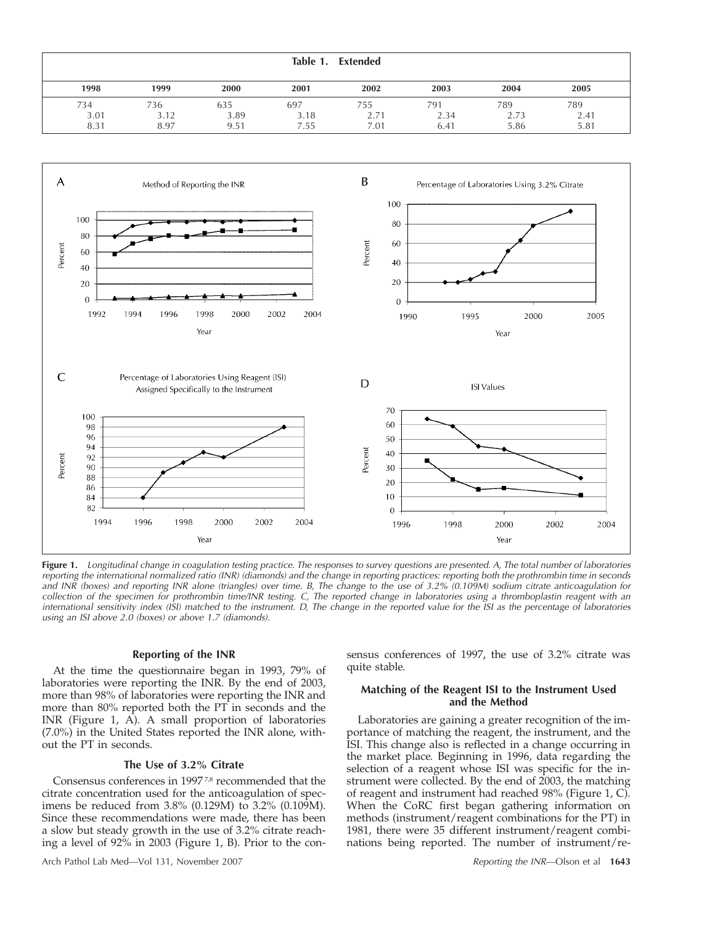|                     |                     |                     | Table 1.            | Extended            |                     |                     |                     |
|---------------------|---------------------|---------------------|---------------------|---------------------|---------------------|---------------------|---------------------|
| 1998                | 1999                | 2000                | 2001                | 2002                | 2003                | 2004                | 2005                |
| 734<br>3.01<br>8.31 | 736<br>3.12<br>8.97 | 635<br>3.89<br>9.51 | 697<br>3.18<br>7.55 | 755<br>2.71<br>7.01 | 791<br>2.34<br>6.41 | 789<br>2.73<br>5.86 | 789<br>2.41<br>5.81 |



**Figure 1.** *Longitudinal change in coagulation testing practice. The responses to survey questions are presented. A, The total number of laboratories reporting the international normalized ratio (INR) (diamonds) and the change in reporting practices: reporting both the prothrombin time in seconds and INR (boxes) and reporting INR alone (triangles) over time. B, The change to the use of 3.2% (0.109M) sodium citrate anticoagulation for collection of the specimen for prothrombin time/INR testing. C, The reported change in laboratories using a thromboplastin reagent with an international sensitivity index (ISI) matched to the instrument. D, The change in the reported value for the ISI as the percentage of laboratories using an ISI above 2.0 (boxes) or above 1.7 (diamonds).*

# **Reporting of the INR**

At the time the questionnaire began in 1993, 79% of laboratories were reporting the INR. By the end of 2003, more than 98% of laboratories were reporting the INR and more than 80% reported both the PT in seconds and the INR (Figure 1, A). A small proportion of laboratories (7.0%) in the United States reported the INR alone, without the PT in seconds.

# **The Use of 3.2% Citrate**

Consensus conferences in 1997 7,8 recommended that the citrate concentration used for the anticoagulation of specimens be reduced from 3.8% (0.129M) to 3.2% (0.109M). Since these recommendations were made, there has been a slow but steady growth in the use of 3.2% citrate reaching a level of 92% in 2003 (Figure 1, B). Prior to the consensus conferences of 1997, the use of 3.2% citrate was quite stable.

# **Matching of the Reagent ISI to the Instrument Used and the Method**

Laboratories are gaining a greater recognition of the importance of matching the reagent, the instrument, and the ISI. This change also is reflected in a change occurring in the market place. Beginning in 1996, data regarding the selection of a reagent whose ISI was specific for the instrument were collected. By the end of 2003, the matching of reagent and instrument had reached 98% (Figure 1, C). When the CoRC first began gathering information on methods (instrument/reagent combinations for the PT) in 1981, there were 35 different instrument/reagent combinations being reported. The number of instrument/re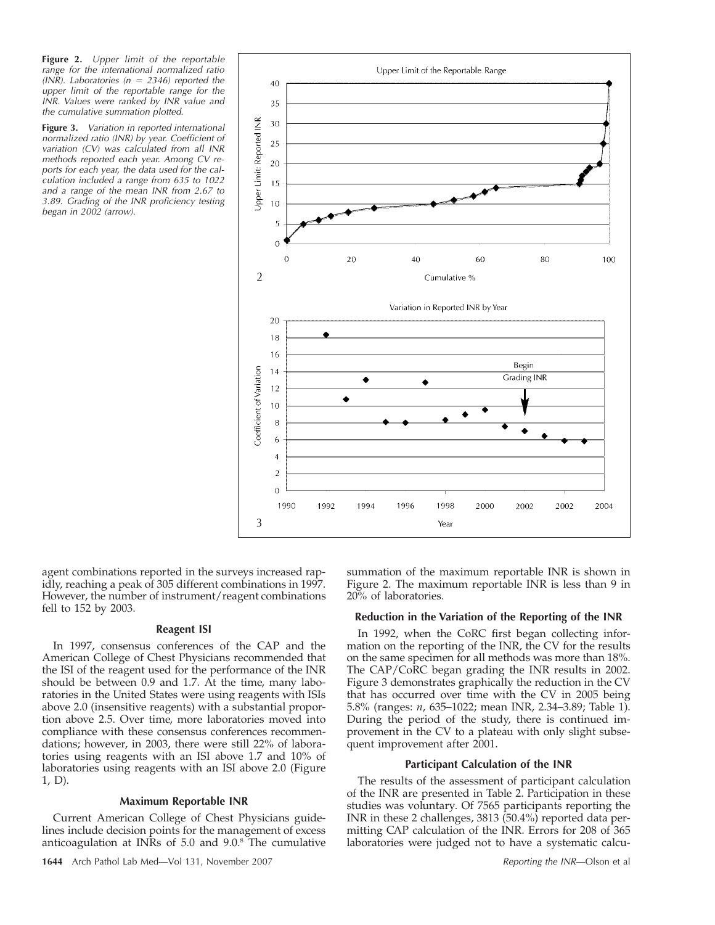**Figure 2.** *Upper limit of the reportable range for the international normalized ratio (INR).* Laboratories  $(n = 2346)$  reported the *upper limit of the reportable range for the INR. Values were ranked by INR value and the cumulative summation plotted.*

**Figure 3.** *Variation in reported international normalized ratio (INR) by year. Coefficient of variation (CV) was calculated from all INR methods reported each year. Among CV reports for each year, the data used for the calculation included a range from 635 to 1022 and a range of the mean INR from 2.67 to 3.89. Grading of the INR proficiency testing began in 2002 (arrow).*



agent combinations reported in the surveys increased rapidly, reaching a peak of 305 different combinations in 1997. However, the number of instrument/reagent combinations fell to 152 by 2003.

#### **Reagent ISI**

In 1997, consensus conferences of the CAP and the American College of Chest Physicians recommended that the ISI of the reagent used for the performance of the INR should be between 0.9 and 1.7. At the time, many laboratories in the United States were using reagents with ISIs above 2.0 (insensitive reagents) with a substantial proportion above 2.5. Over time, more laboratories moved into compliance with these consensus conferences recommendations; however, in 2003, there were still 22% of laboratories using reagents with an ISI above 1.7 and 10% of laboratories using reagents with an ISI above 2.0 (Figure 1, D).

# **Maximum Reportable INR**

Current American College of Chest Physicians guidelines include decision points for the management of excess anticoagulation at INRs of 5.0 and 9.0.8 The cumulative

summation of the maximum reportable INR is shown in Figure 2. The maximum reportable INR is less than 9 in 20% of laboratories.

#### **Reduction in the Variation of the Reporting of the INR**

In 1992, when the CoRC first began collecting information on the reporting of the INR, the CV for the results on the same specimen for all methods was more than 18%. The CAP/CoRC began grading the INR results in 2002. Figure 3 demonstrates graphically the reduction in the CV that has occurred over time with the CV in 2005 being 5.8% (ranges: *n*, 635–1022; mean INR, 2.34–3.89; Table 1). During the period of the study, there is continued improvement in the CV to a plateau with only slight subsequent improvement after 2001.

#### **Participant Calculation of the INR**

The results of the assessment of participant calculation of the INR are presented in Table 2. Participation in these studies was voluntary. Of 7565 participants reporting the INR in these 2 challenges, 3813 (50.4%) reported data permitting CAP calculation of the INR. Errors for 208 of 365 laboratories were judged not to have a systematic calcu-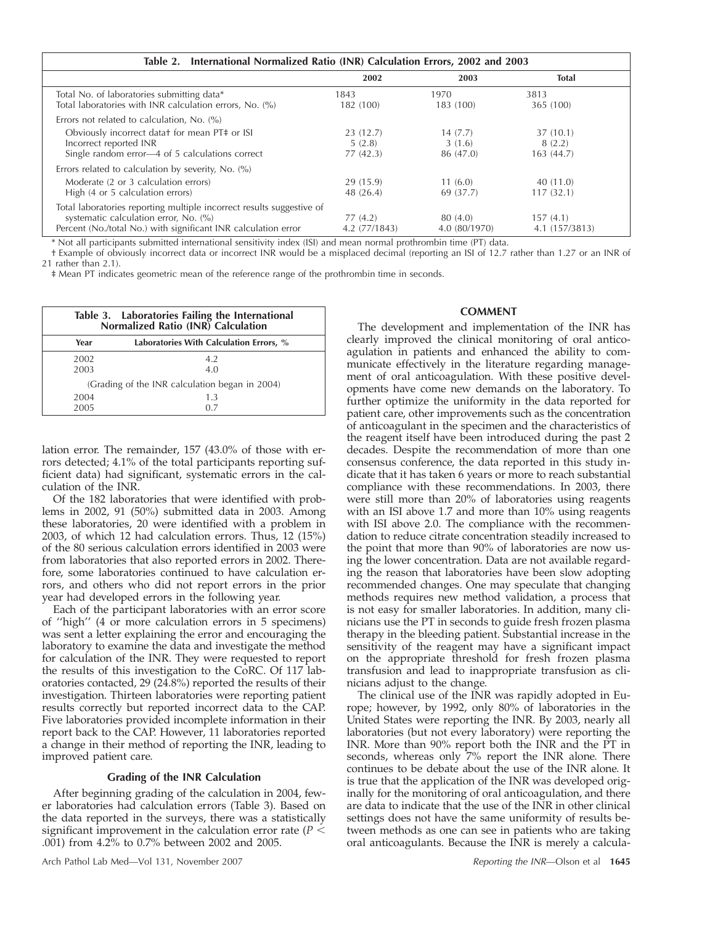| Table 2. International Normalized Ratio (INR) Calculation Errors, 2002 and 2003                                                                                                  |                                |                                |                                 |  |
|----------------------------------------------------------------------------------------------------------------------------------------------------------------------------------|--------------------------------|--------------------------------|---------------------------------|--|
|                                                                                                                                                                                  | 2002                           | 2003                           | <b>Total</b>                    |  |
| Total No. of laboratories submitting data*<br>Total laboratories with INR calculation errors, No. (%)                                                                            | 1843<br>182 (100)              | 1970<br>183 (100)              | 3813<br>365 (100)               |  |
| Errors not related to calculation, No. $(\%)$                                                                                                                                    |                                |                                |                                 |  |
| Obviously incorrect datat for mean PT# or ISI<br>Incorrect reported INR<br>Single random error—4 of 5 calculations correct                                                       | 23(12.7)<br>5(2.8)<br>77(42.3) | 14(7.7)<br>3(1.6)<br>86 (47.0) | 37(10.1)<br>8(2.2)<br>163(44.7) |  |
| Errors related to calculation by severity, No. (%)                                                                                                                               |                                |                                |                                 |  |
| Moderate (2 or 3 calculation errors)<br>High (4 or 5 calculation errors)                                                                                                         | 29 (15.9)<br>48 (26.4)         | 11(6.0)<br>69 (37.7)           | 40 (11.0)<br>117(32.1)          |  |
| Total laboratories reporting multiple incorrect results suggestive of<br>systematic calculation error, No. (%)<br>Percent (No./total No.) with significant INR calculation error | 77 (4.2)<br>4.2 (77/1843)      | 80 (4.0)<br>4.0 (80/1970)      | 157(4.1)<br>4.1 (157/3813)      |  |

\* Not all participants submitted international sensitivity index (ISI) and mean normal prothrombin time (PT) data.

† Example of obviously incorrect data or incorrect INR would be a misplaced decimal (reporting an ISI of 12.7 rather than 1.27 or an INR of 21 rather than 2.1).

‡ Mean PT indicates geometric mean of the reference range of the prothrombin time in seconds.

| Table 3. Laboratories Failing the International<br>Normalized Ratio (INR) Calculation |                                                |  |  |  |  |
|---------------------------------------------------------------------------------------|------------------------------------------------|--|--|--|--|
| Year                                                                                  | Laboratories With Calculation Errors, %        |  |  |  |  |
| 2002<br>2003                                                                          | 4.2<br>4.0                                     |  |  |  |  |
|                                                                                       | (Grading of the INR calculation began in 2004) |  |  |  |  |
| 2004<br>2005                                                                          | 1.3<br>0 Z                                     |  |  |  |  |

lation error. The remainder, 157 (43.0% of those with errors detected; 4.1% of the total participants reporting sufficient data) had significant, systematic errors in the calculation of the INR.

Of the 182 laboratories that were identified with problems in 2002, 91 (50%) submitted data in 2003. Among these laboratories, 20 were identified with a problem in 2003, of which 12 had calculation errors. Thus, 12 (15%) of the 80 serious calculation errors identified in 2003 were from laboratories that also reported errors in 2002. Therefore, some laboratories continued to have calculation errors, and others who did not report errors in the prior year had developed errors in the following year.

Each of the participant laboratories with an error score of ''high'' (4 or more calculation errors in 5 specimens) was sent a letter explaining the error and encouraging the laboratory to examine the data and investigate the method for calculation of the INR. They were requested to report the results of this investigation to the CoRC. Of 117 laboratories contacted, 29 (24.8%) reported the results of their investigation. Thirteen laboratories were reporting patient results correctly but reported incorrect data to the CAP. Five laboratories provided incomplete information in their report back to the CAP. However, 11 laboratories reported a change in their method of reporting the INR, leading to improved patient care.

# **Grading of the INR Calculation**

After beginning grading of the calculation in 2004, fewer laboratories had calculation errors (Table 3). Based on the data reported in the surveys, there was a statistically significant improvement in the calculation error rate  $(P <$ .001) from 4.2% to 0.7% between 2002 and 2005.

# **COMMENT**

The development and implementation of the INR has clearly improved the clinical monitoring of oral anticoagulation in patients and enhanced the ability to communicate effectively in the literature regarding management of oral anticoagulation. With these positive developments have come new demands on the laboratory. To further optimize the uniformity in the data reported for patient care, other improvements such as the concentration of anticoagulant in the specimen and the characteristics of the reagent itself have been introduced during the past 2 decades. Despite the recommendation of more than one consensus conference, the data reported in this study indicate that it has taken 6 years or more to reach substantial compliance with these recommendations. In 2003, there were still more than 20% of laboratories using reagents with an ISI above 1.7 and more than 10% using reagents with ISI above 2.0. The compliance with the recommendation to reduce citrate concentration steadily increased to the point that more than 90% of laboratories are now using the lower concentration. Data are not available regarding the reason that laboratories have been slow adopting recommended changes. One may speculate that changing methods requires new method validation, a process that is not easy for smaller laboratories. In addition, many clinicians use the PT in seconds to guide fresh frozen plasma therapy in the bleeding patient. Substantial increase in the sensitivity of the reagent may have a significant impact on the appropriate threshold for fresh frozen plasma transfusion and lead to inappropriate transfusion as clinicians adjust to the change.

The clinical use of the INR was rapidly adopted in Europe; however, by 1992, only 80% of laboratories in the United States were reporting the INR. By 2003, nearly all laboratories (but not every laboratory) were reporting the INR. More than 90% report both the INR and the PT in seconds, whereas only 7% report the INR alone. There continues to be debate about the use of the INR alone. It is true that the application of the INR was developed originally for the monitoring of oral anticoagulation, and there are data to indicate that the use of the INR in other clinical settings does not have the same uniformity of results between methods as one can see in patients who are taking oral anticoagulants. Because the INR is merely a calcula-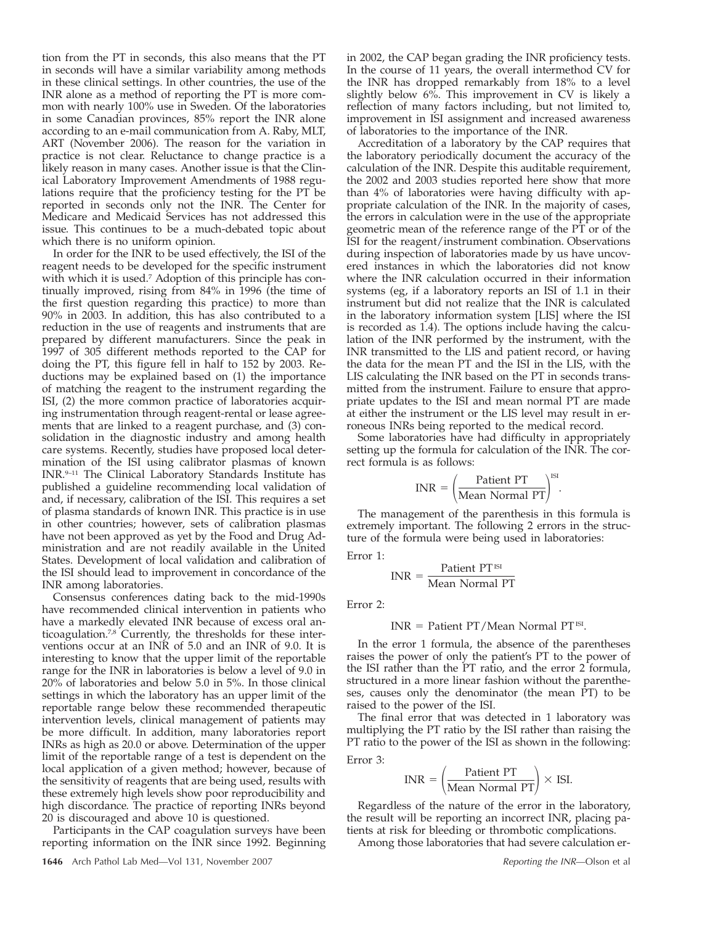tion from the PT in seconds, this also means that the PT in seconds will have a similar variability among methods in these clinical settings. In other countries, the use of the INR alone as a method of reporting the PT is more common with nearly 100% use in Sweden. Of the laboratories in some Canadian provinces, 85% report the INR alone according to an e-mail communication from A. Raby, MLT, ART (November 2006). The reason for the variation in practice is not clear. Reluctance to change practice is a likely reason in many cases. Another issue is that the Clinical Laboratory Improvement Amendments of 1988 regulations require that the proficiency testing for the PT be reported in seconds only not the INR. The Center for Medicare and Medicaid Services has not addressed this issue. This continues to be a much-debated topic about which there is no uniform opinion.

In order for the INR to be used effectively, the ISI of the reagent needs to be developed for the specific instrument with which it is used.<sup>7</sup> Adoption of this principle has continually improved, rising from 84% in 1996 (the time of the first question regarding this practice) to more than 90% in 2003. In addition, this has also contributed to a reduction in the use of reagents and instruments that are prepared by different manufacturers. Since the peak in 1997 of 305 different methods reported to the CAP for doing the PT, this figure fell in half to 152 by 2003. Reductions may be explained based on (1) the importance of matching the reagent to the instrument regarding the ISI, (2) the more common practice of laboratories acquiring instrumentation through reagent-rental or lease agreements that are linked to a reagent purchase, and (3) consolidation in the diagnostic industry and among health care systems. Recently, studies have proposed local determination of the ISI using calibrator plasmas of known INR.9–11 The Clinical Laboratory Standards Institute has published a guideline recommending local validation of and, if necessary, calibration of the ISI. This requires a set of plasma standards of known INR. This practice is in use in other countries; however, sets of calibration plasmas have not been approved as yet by the Food and Drug Administration and are not readily available in the United States. Development of local validation and calibration of the ISI should lead to improvement in concordance of the INR among laboratories.

Consensus conferences dating back to the mid-1990s have recommended clinical intervention in patients who have a markedly elevated INR because of excess oral anticoagulation.<sup>7,8</sup> Currently, the thresholds for these interventions occur at an INR of 5.0 and an INR of 9.0. It is interesting to know that the upper limit of the reportable range for the INR in laboratories is below a level of 9.0 in 20% of laboratories and below 5.0 in 5%. In those clinical settings in which the laboratory has an upper limit of the reportable range below these recommended therapeutic intervention levels, clinical management of patients may be more difficult. In addition, many laboratories report INRs as high as 20.0 or above. Determination of the upper limit of the reportable range of a test is dependent on the local application of a given method; however, because of the sensitivity of reagents that are being used, results with these extremely high levels show poor reproducibility and high discordance. The practice of reporting INRs beyond 20 is discouraged and above 10 is questioned.

Participants in the CAP coagulation surveys have been reporting information on the INR since 1992. Beginning in 2002, the CAP began grading the INR proficiency tests. In the course of 11 years, the overall intermethod CV for the INR has dropped remarkably from 18% to a level slightly below 6%. This improvement in CV is likely a reflection of many factors including, but not limited to, improvement in ISI assignment and increased awareness of laboratories to the importance of the INR.

Accreditation of a laboratory by the CAP requires that the laboratory periodically document the accuracy of the calculation of the INR. Despite this auditable requirement, the 2002 and 2003 studies reported here show that more than 4% of laboratories were having difficulty with appropriate calculation of the INR. In the majority of cases, the errors in calculation were in the use of the appropriate geometric mean of the reference range of the PT or of the ISI for the reagent/instrument combination. Observations during inspection of laboratories made by us have uncovered instances in which the laboratories did not know where the INR calculation occurred in their information systems (eg, if a laboratory reports an ISI of 1.1 in their instrument but did not realize that the INR is calculated in the laboratory information system [LIS] where the ISI is recorded as 1.4). The options include having the calculation of the INR performed by the instrument, with the INR transmitted to the LIS and patient record, or having the data for the mean PT and the ISI in the LIS, with the LIS calculating the INR based on the PT in seconds transmitted from the instrument. Failure to ensure that appropriate updates to the ISI and mean normal PT are made at either the instrument or the LIS level may result in erroneous INRs being reported to the medical record.

Some laboratories have had difficulty in appropriately setting up the formula for calculation of the INR. The correct formula is as follows:

$$
INR = \left(\frac{\text{Pattern T}}{\text{Mean Normal PT}}\right)^{\text{ISI}}.
$$

The management of the parenthesis in this formula is extremely important. The following 2 errors in the structure of the formula were being used in laboratories:

Error 1:

$$
INR = \frac{Pattern T^{ISI}}{Mean Normal PT}
$$

Error 2:

#### $INR =$  Patient PT/Mean Normal PT<sup>ISI</sup>.

In the error 1 formula, the absence of the parentheses raises the power of only the patient's PT to the power of the ISI rather than the PT ratio, and the error 2 formula, structured in a more linear fashion without the parentheses, causes only the denominator (the mean PT) to be raised to the power of the ISI.

The final error that was detected in 1 laboratory was multiplying the PT ratio by the ISI rather than raising the PT ratio to the power of the ISI as shown in the following:

Error 3:

$$
INR = \left(\frac{\text{Pattern PT}}{\text{Mean Normal PT}}\right) \times \text{ISI}.
$$

Regardless of the nature of the error in the laboratory, the result will be reporting an incorrect INR, placing patients at risk for bleeding or thrombotic complications.

Among those laboratories that had severe calculation er-